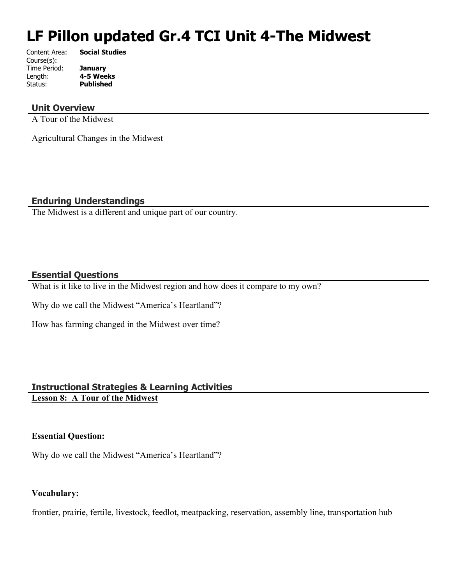# **LF Pillon updated Gr.4 TCI Unit 4-The Midwest**

| Content Area: | <b>Social Studies</b> |
|---------------|-----------------------|
| Course(s):    |                       |
| Time Period:  | <b>January</b>        |
| Length:       | 4-5 Weeks             |
| Status:       | <b>Published</b>      |
|               |                       |

## **Unit Overview**

A Tour of the Midwest

Agricultural Changes in the Midwest

## **Enduring Understandings**

The Midwest is a different and unique part of our country.

## **Essential Questions**

What is it like to live in the Midwest region and how does it compare to my own?

Why do we call the Midwest "America's Heartland"?

How has farming changed in the Midwest over time?

## **Instructional Strategies & Learning Activities**

**Lesson 8: A Tour of the Midwest**

## **Essential Question:**

Why do we call the Midwest "America's Heartland"?

#### **Vocabulary:**

frontier, prairie, fertile, livestock, feedlot, meatpacking, reservation, assembly line, transportation hub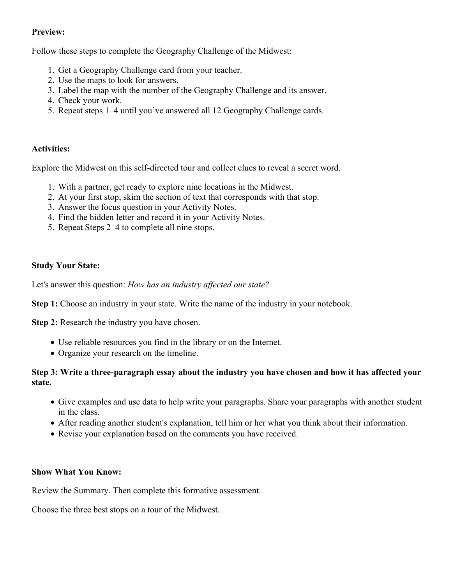## **Preview:**

Follow these steps to complete the Geography Challenge of the Midwest:

- 1. Get a Geography Challenge card from your teacher.
- 2. Use the maps to look for answers.
- 3. Label the map with the number of the Geography Challenge and its answer.
- 4. Check your work.
- 5. Repeat steps 1–4 until you've answered all 12 Geography Challenge cards.

## **Activities:**

Explore the Midwest on this self-directed tour and collect clues to reveal a secret word.

- 1. With a partner, get ready to explore nine locations in the Midwest.
- 2. At your first stop, skim the section of text that corresponds with that stop.
- 3. Answer the focus question in your Activity Notes.
- 4. Find the hidden letter and record it in your Activity Notes.
- 5. Repeat Steps 2–4 to complete all nine stops.

## **Study Your State:**

Let's answer this question: *How has an industry affected our state?*

**Step 1:** Choose an industry in your state. Write the name of the industry in your notebook.

**Step 2:** Research the industry you have chosen.

- Use reliable resources you find in the library or on the Internet.
- Organize your research on the timeline.

## **Step 3: Write a three-paragraph essay about the industry you have chosen and how it has affected your state.**

- Give examples and use data to help write your paragraphs. Share your paragraphs with another student in the class.
- After reading another student's explanation, tell him or her what you think about their information.
- Revise your explanation based on the comments you have received.

#### **Show What You Know:**

Review the Summary. Then complete this formative assessment.

Choose the three best stops on a tour of the Midwest.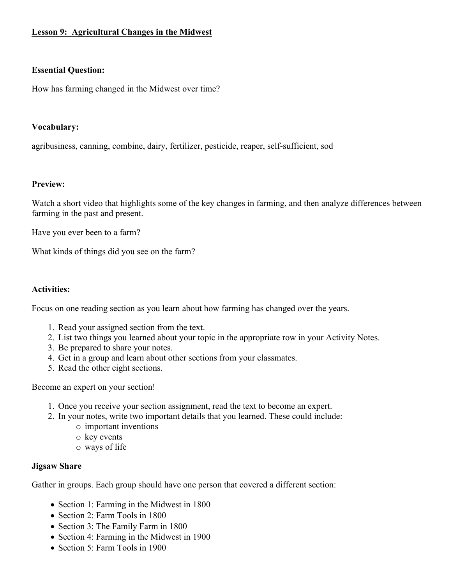## **Lesson 9: Agricultural Changes in the Midwest**

#### **Essential Question:**

How has farming changed in the Midwest over time?

#### **Vocabulary:**

agribusiness, canning, combine, dairy, fertilizer, pesticide, reaper, self-sufficient, sod

#### **Preview:**

Watch a short video that highlights some of the key changes in farming, and then analyze differences between farming in the past and present.

Have you ever been to a farm?

What kinds of things did you see on the farm?

#### **Activities:**

Focus on one reading section as you learn about how farming has changed over the years.

- 1. Read your assigned section from the text.
- 2. List two things you learned about your topic in the appropriate row in your Activity Notes.
- 3. Be prepared to share your notes.
- 4. Get in a group and learn about other sections from your classmates.
- 5. Read the other eight sections.

Become an expert on your section!

- 1. Once you receive your section assignment, read the text to become an expert.
- 2. In your notes, write two important details that you learned. These could include:
	- o important inventions
	- o key events
	- o ways of life

#### **Jigsaw Share**

Gather in groups. Each group should have one person that covered a different section:

- Section 1: Farming in the Midwest in 1800
- Section 2: Farm Tools in 1800
- Section 3: The Family Farm in 1800
- Section 4: Farming in the Midwest in 1900
- Section 5: Farm Tools in 1900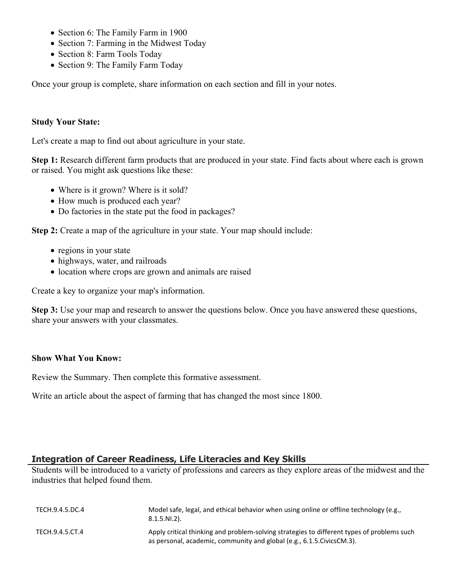- Section 6: The Family Farm in 1900
- Section 7: Farming in the Midwest Today
- Section 8: Farm Tools Today
- Section 9: The Family Farm Today

Once your group is complete, share information on each section and fill in your notes.

#### **Study Your State:**

Let's create a map to find out about agriculture in your state.

**Step 1:** Research different farm products that are produced in your state. Find facts about where each is grown or raised. You might ask questions like these:

- Where is it grown? Where is it sold?
- How much is produced each year?
- Do factories in the state put the food in packages?

**Step 2:** Create a map of the agriculture in your state. Your map should include:

- regions in your state
- highways, water, and railroads
- location where crops are grown and animals are raised

Create a key to organize your map's information.

**Step 3:** Use your map and research to answer the questions below. Once you have answered these questions, share your answers with your classmates.

#### **Show What You Know:**

Review the Summary. Then complete this formative assessment.

Write an article about the aspect of farming that has changed the most since 1800.

## **Integration of Career Readiness, Life Literacies and Key Skills**

Students will be introduced to a variety of professions and careers as they explore areas of the midwest and the industries that helped found them.

| TECH.9.4.5.DC.4 | Model safe, legal, and ethical behavior when using online or offline technology (e.g.,<br>$8.1.5.NI.2$ ).                                                             |
|-----------------|-----------------------------------------------------------------------------------------------------------------------------------------------------------------------|
| TECH.9.4.5.CT.4 | Apply critical thinking and problem-solving strategies to different types of problems such<br>as personal, academic, community and global (e.g., 6.1.5. Civics CM.3). |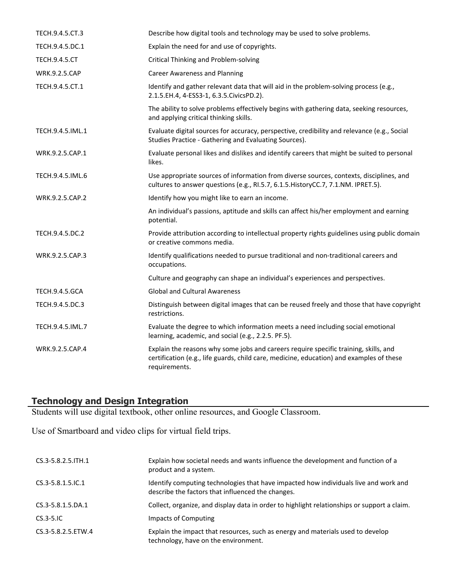| TECH.9.4.5.CT.3       | Describe how digital tools and technology may be used to solve problems.                                                                                                                          |
|-----------------------|---------------------------------------------------------------------------------------------------------------------------------------------------------------------------------------------------|
| TECH.9.4.5.DC.1       | Explain the need for and use of copyrights.                                                                                                                                                       |
| <b>TECH.9.4.5.CT</b>  | <b>Critical Thinking and Problem-solving</b>                                                                                                                                                      |
| <b>WRK.9.2.5.CAP</b>  | <b>Career Awareness and Planning</b>                                                                                                                                                              |
| TECH.9.4.5.CT.1       | Identify and gather relevant data that will aid in the problem-solving process (e.g.,<br>2.1.5.EH.4, 4-ESS3-1, 6.3.5.CivicsPD.2).                                                                 |
|                       | The ability to solve problems effectively begins with gathering data, seeking resources,<br>and applying critical thinking skills.                                                                |
| TECH.9.4.5.IML.1      | Evaluate digital sources for accuracy, perspective, credibility and relevance (e.g., Social<br>Studies Practice - Gathering and Evaluating Sources).                                              |
| WRK.9.2.5.CAP.1       | Evaluate personal likes and dislikes and identify careers that might be suited to personal<br>likes.                                                                                              |
| TECH.9.4.5.IML.6      | Use appropriate sources of information from diverse sources, contexts, disciplines, and<br>cultures to answer questions (e.g., RI.5.7, 6.1.5. HistoryCC.7, 7.1.NM. IPRET.5).                      |
| WRK.9.2.5.CAP.2       | Identify how you might like to earn an income.                                                                                                                                                    |
|                       | An individual's passions, aptitude and skills can affect his/her employment and earning<br>potential.                                                                                             |
| TECH.9.4.5.DC.2       | Provide attribution according to intellectual property rights guidelines using public domain<br>or creative commons media.                                                                        |
| WRK.9.2.5.CAP.3       | Identify qualifications needed to pursue traditional and non-traditional careers and<br>occupations.                                                                                              |
|                       | Culture and geography can shape an individual's experiences and perspectives.                                                                                                                     |
| <b>TECH.9.4.5.GCA</b> | <b>Global and Cultural Awareness</b>                                                                                                                                                              |
| TECH.9.4.5.DC.3       | Distinguish between digital images that can be reused freely and those that have copyright<br>restrictions.                                                                                       |
| TECH.9.4.5.IML.7      | Evaluate the degree to which information meets a need including social emotional<br>learning, academic, and social (e.g., 2.2.5. PF.5).                                                           |
| WRK.9.2.5.CAP.4       | Explain the reasons why some jobs and careers require specific training, skills, and<br>certification (e.g., life guards, child care, medicine, education) and examples of these<br>requirements. |

#### **Technology and Design Integration**

Students will use digital textbook, other online resources, and Google Classroom.

Use of Smartboard and video clips for virtual field trips.

| CS.3-5.8.2.5. ITH.1      | Explain how societal needs and wants influence the development and function of a<br>product and a system.                                 |
|--------------------------|-------------------------------------------------------------------------------------------------------------------------------------------|
| $CS.3 - 5.8.1.5$ . IC. 1 | Identify computing technologies that have impacted how individuals live and work and<br>describe the factors that influenced the changes. |
| CS.3-5.8.1.5.DA.1        | Collect, organize, and display data in order to highlight relationships or support a claim.                                               |
| $CS.3-5.1C$              | Impacts of Computing                                                                                                                      |
| CS.3-5.8.2.5.ETW.4       | Explain the impact that resources, such as energy and materials used to develop<br>technology, have on the environment.                   |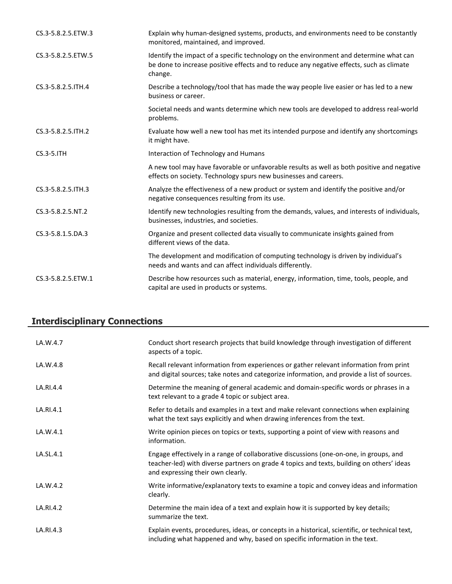| CS.3-5.8.2.5.ETW.3  | Explain why human-designed systems, products, and environments need to be constantly<br>monitored, maintained, and improved.                                                                  |
|---------------------|-----------------------------------------------------------------------------------------------------------------------------------------------------------------------------------------------|
| CS.3-5.8.2.5.ETW.5  | Identify the impact of a specific technology on the environment and determine what can<br>be done to increase positive effects and to reduce any negative effects, such as climate<br>change. |
| CS.3-5.8.2.5.ITH.4  | Describe a technology/tool that has made the way people live easier or has led to a new<br>business or career.                                                                                |
|                     | Societal needs and wants determine which new tools are developed to address real-world<br>problems.                                                                                           |
| CS.3-5.8.2.5. ITH.2 | Evaluate how well a new tool has met its intended purpose and identify any shortcomings<br>it might have.                                                                                     |
| $CS.3-5.1TH$        | Interaction of Technology and Humans                                                                                                                                                          |
|                     | A new tool may have favorable or unfavorable results as well as both positive and negative<br>effects on society. Technology spurs new businesses and careers.                                |
| CS.3-5.8.2.5. ITH.3 | Analyze the effectiveness of a new product or system and identify the positive and/or<br>negative consequences resulting from its use.                                                        |
| CS.3-5.8.2.5.NT.2   | Identify new technologies resulting from the demands, values, and interests of individuals,<br>businesses, industries, and societies.                                                         |
| CS.3-5.8.1.5.DA.3   | Organize and present collected data visually to communicate insights gained from<br>different views of the data.                                                                              |
|                     | The development and modification of computing technology is driven by individual's<br>needs and wants and can affect individuals differently.                                                 |
| CS.3-5.8.2.5.ETW.1  | Describe how resources such as material, energy, information, time, tools, people, and<br>capital are used in products or systems.                                                            |

## **Interdisciplinary Connections**

| LA.W.4.7  | Conduct short research projects that build knowledge through investigation of different<br>aspects of a topic.                                                                                                           |
|-----------|--------------------------------------------------------------------------------------------------------------------------------------------------------------------------------------------------------------------------|
| LA.W.4.8  | Recall relevant information from experiences or gather relevant information from print<br>and digital sources; take notes and categorize information, and provide a list of sources.                                     |
| LA.RI.4.4 | Determine the meaning of general academic and domain-specific words or phrases in a<br>text relevant to a grade 4 topic or subject area.                                                                                 |
| LA.RI.4.1 | Refer to details and examples in a text and make relevant connections when explaining<br>what the text says explicitly and when drawing inferences from the text.                                                        |
| LA.W.4.1  | Write opinion pieces on topics or texts, supporting a point of view with reasons and<br>information.                                                                                                                     |
| LA.SL.4.1 | Engage effectively in a range of collaborative discussions (one-on-one, in groups, and<br>teacher-led) with diverse partners on grade 4 topics and texts, building on others' ideas<br>and expressing their own clearly. |
| LA.W.4.2  | Write informative/explanatory texts to examine a topic and convey ideas and information<br>clearly.                                                                                                                      |
| LA.RI.4.2 | Determine the main idea of a text and explain how it is supported by key details;<br>summarize the text.                                                                                                                 |
| LA.RI.4.3 | Explain events, procedures, ideas, or concepts in a historical, scientific, or technical text,<br>including what happened and why, based on specific information in the text.                                            |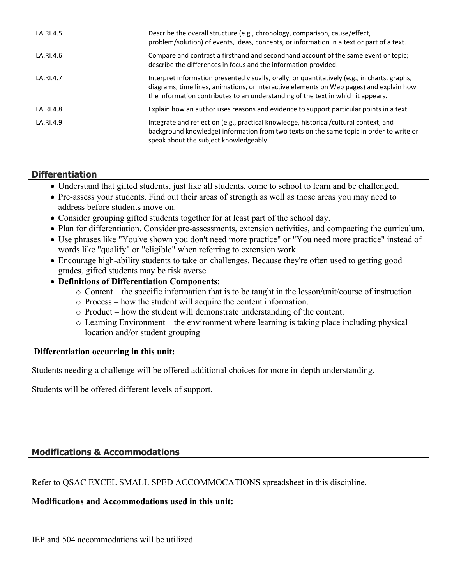| LA.RI.4.5 | Describe the overall structure (e.g., chronology, comparison, cause/effect,<br>problem/solution) of events, ideas, concepts, or information in a text or part of a text.                                                                                                     |
|-----------|------------------------------------------------------------------------------------------------------------------------------------------------------------------------------------------------------------------------------------------------------------------------------|
| LA.RI.4.6 | Compare and contrast a firsthand and secondhand account of the same event or topic;<br>describe the differences in focus and the information provided.                                                                                                                       |
| LA.RI.4.7 | Interpret information presented visually, orally, or quantitatively (e.g., in charts, graphs,<br>diagrams, time lines, animations, or interactive elements on Web pages) and explain how<br>the information contributes to an understanding of the text in which it appears. |
| LA.RI.4.8 | Explain how an author uses reasons and evidence to support particular points in a text.                                                                                                                                                                                      |
| LA.RI.4.9 | Integrate and reflect on (e.g., practical knowledge, historical/cultural context, and<br>background knowledge) information from two texts on the same topic in order to write or<br>speak about the subject knowledgeably.                                                   |

## **Differentiation**

- Understand that gifted students, just like all students, come to school to learn and be challenged.
- Pre-assess your students. Find out their areas of strength as well as those areas you may need to address before students move on.
- Consider grouping gifted students together for at least part of the school day.
- Plan for differentiation. Consider pre-assessments, extension activities, and compacting the curriculum.
- Use phrases like "You've shown you don't need more practice" or "You need more practice" instead of words like "qualify" or "eligible" when referring to extension work.
- Encourage high-ability students to take on challenges. Because they're often used to getting good grades, gifted students may be risk averse.
- **Definitions of Differentiation Components**:
	- o Content the specific information that is to be taught in the lesson/unit/course of instruction.
	- o Process how the student will acquire the content information.
	- o Product how the student will demonstrate understanding of the content.
	- o Learning Environment the environment where learning is taking place including physical location and/or student grouping

#### **Differentiation occurring in this unit:**

Students needing a challenge will be offered additional choices for more in-depth understanding.

Students will be offered different levels of support.

#### **Modifications & Accommodations**

Refer to QSAC EXCEL SMALL SPED ACCOMMOCATIONS spreadsheet in this discipline.

#### **Modifications and Accommodations used in this unit:**

IEP and 504 accommodations will be utilized.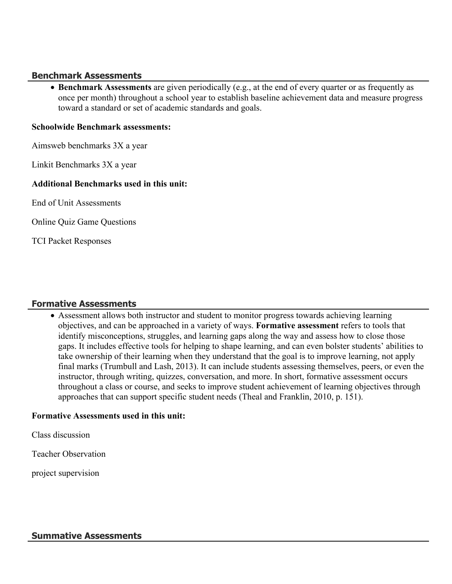#### **Benchmark Assessments**

 **Benchmark Assessments** are given periodically (e.g., at the end of every quarter or as frequently as once per month) throughout a school year to establish baseline achievement data and measure progress toward a standard or set of academic standards and goals.

#### **Schoolwide Benchmark assessments:**

Aimsweb benchmarks 3X a year

Linkit Benchmarks 3X a year

#### **Additional Benchmarks used in this unit:**

End of Unit Assessments

Online Quiz Game Questions

TCI Packet Responses

#### **Formative Assessments**

 Assessment allows both instructor and student to monitor progress towards achieving learning objectives, and can be approached in a variety of ways. **Formative assessment** refers to tools that identify misconceptions, struggles, and learning gaps along the way and assess how to close those gaps. It includes effective tools for helping to shape learning, and can even bolster students' abilities to take ownership of their learning when they understand that the goal is to improve learning, not apply final marks (Trumbull and Lash, 2013). It can include students assessing themselves, peers, or even the instructor, through writing, quizzes, conversation, and more. In short, formative assessment occurs throughout a class or course, and seeks to improve student achievement of learning objectives through approaches that can support specific student needs (Theal and Franklin, 2010, p. 151).

#### **Formative Assessments used in this unit:**

Class discussion

Teacher Observation

project supervision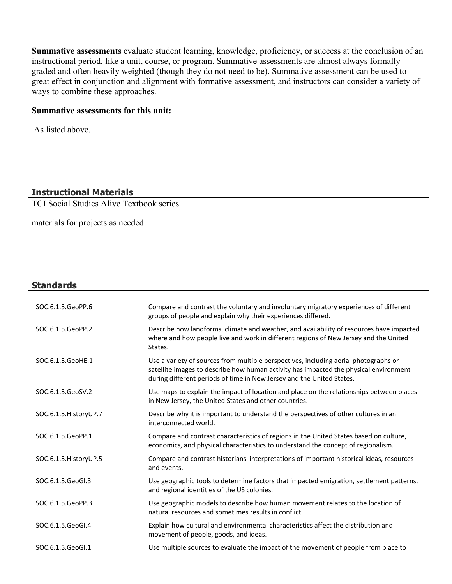**Summative assessments** evaluate student learning, knowledge, proficiency, or success at the conclusion of an instructional period, like a unit, course, or program. Summative assessments are almost always formally graded and often heavily weighted (though they do not need to be). Summative assessment can be used to great effect in conjunction and alignment with formative assessment, and instructors can consider a variety of ways to combine these approaches.

#### **Summative assessments for this unit:**

As listed above.

## **Instructional Materials**

TCI Social Studies Alive Textbook series

materials for projects as needed

#### **Standards**

| SOC.6.1.5.GeoPP.6      | Compare and contrast the voluntary and involuntary migratory experiences of different<br>groups of people and explain why their experiences differed.                                                                                                  |
|------------------------|--------------------------------------------------------------------------------------------------------------------------------------------------------------------------------------------------------------------------------------------------------|
| SOC.6.1.5.GeoPP.2      | Describe how landforms, climate and weather, and availability of resources have impacted<br>where and how people live and work in different regions of New Jersey and the United<br>States.                                                            |
| SOC.6.1.5.GeoHE.1      | Use a variety of sources from multiple perspectives, including aerial photographs or<br>satellite images to describe how human activity has impacted the physical environment<br>during different periods of time in New Jersey and the United States. |
| SOC.6.1.5.GeoSV.2      | Use maps to explain the impact of location and place on the relationships between places<br>in New Jersey, the United States and other countries.                                                                                                      |
| SOC.6.1.5. HistoryUP.7 | Describe why it is important to understand the perspectives of other cultures in an<br>interconnected world.                                                                                                                                           |
| SOC.6.1.5.GeoPP.1      | Compare and contrast characteristics of regions in the United States based on culture,<br>economics, and physical characteristics to understand the concept of regionalism.                                                                            |
| SOC.6.1.5. HistoryUP.5 | Compare and contrast historians' interpretations of important historical ideas, resources<br>and events.                                                                                                                                               |
| SOC.6.1.5.GeoGl.3      | Use geographic tools to determine factors that impacted emigration, settlement patterns,<br>and regional identities of the US colonies.                                                                                                                |
| SOC.6.1.5.GeoPP.3      | Use geographic models to describe how human movement relates to the location of<br>natural resources and sometimes results in conflict.                                                                                                                |
| SOC.6.1.5.GeoGI.4      | Explain how cultural and environmental characteristics affect the distribution and<br>movement of people, goods, and ideas.                                                                                                                            |
| SOC.6.1.5.GeoGl.1      | Use multiple sources to evaluate the impact of the movement of people from place to                                                                                                                                                                    |